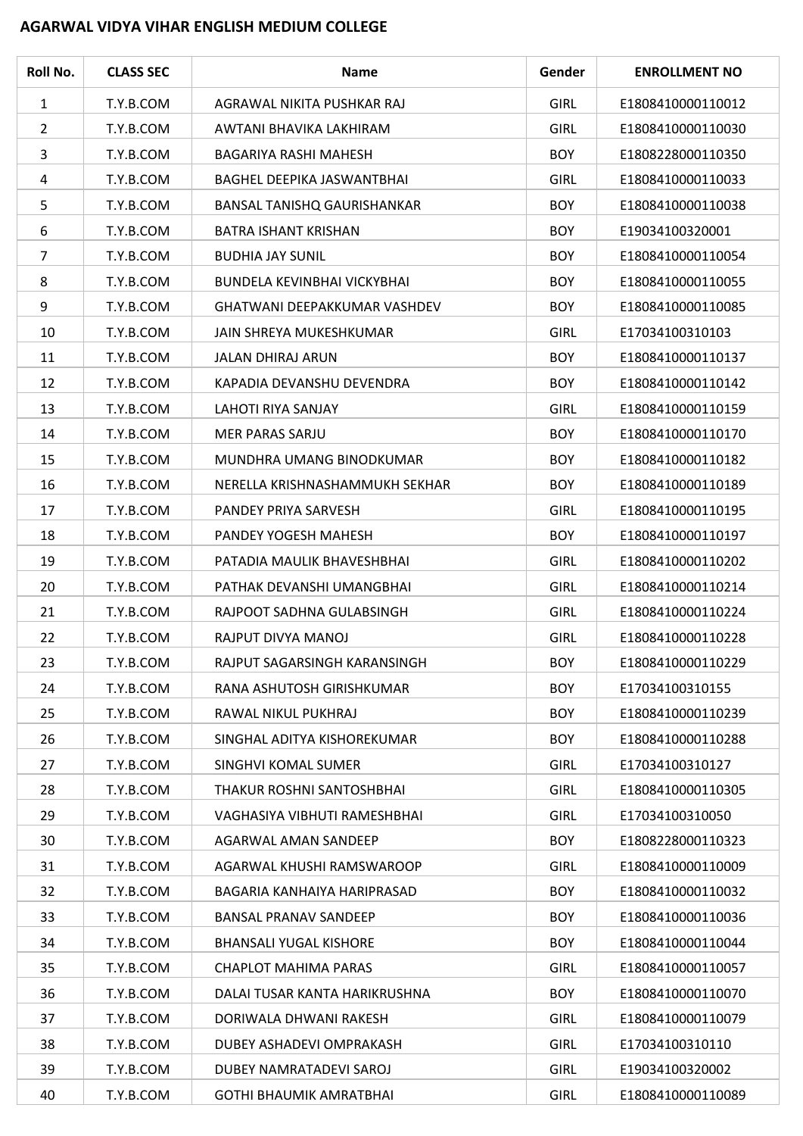## **AGARWAL VIDYA VIHAR ENGLISH MEDIUM COLLEGE**

| Roll No.       | <b>CLASS SEC</b> | <b>Name</b>                         | Gender      | <b>ENROLLMENT NO</b> |
|----------------|------------------|-------------------------------------|-------------|----------------------|
| 1              | T.Y.B.COM        | AGRAWAL NIKITA PUSHKAR RAJ          | <b>GIRL</b> | E1808410000110012    |
| $\overline{2}$ | T.Y.B.COM        | AWTANI BHAVIKA LAKHIRAM             | <b>GIRL</b> | E1808410000110030    |
| 3              | T.Y.B.COM        | BAGARIYA RASHI MAHESH               | <b>BOY</b>  | E1808228000110350    |
| $\overline{a}$ | T.Y.B.COM        | BAGHEL DEEPIKA JASWANTBHAI          | <b>GIRL</b> | E1808410000110033    |
| 5              | T.Y.B.COM        | BANSAL TANISHQ GAURISHANKAR         | <b>BOY</b>  | E1808410000110038    |
| 6              | T.Y.B.COM        | <b>BATRA ISHANT KRISHAN</b>         | <b>BOY</b>  | E19034100320001      |
| 7              | T.Y.B.COM        | <b>BUDHIA JAY SUNIL</b>             | <b>BOY</b>  | E1808410000110054    |
| 8              | T.Y.B.COM        | <b>BUNDELA KEVINBHAI VICKYBHAI</b>  | <b>BOY</b>  | E1808410000110055    |
| 9              | T.Y.B.COM        | <b>GHATWANI DEEPAKKUMAR VASHDEV</b> | <b>BOY</b>  | E1808410000110085    |
| 10             | T.Y.B.COM        | JAIN SHREYA MUKESHKUMAR             | <b>GIRL</b> | E17034100310103      |
| 11             | T.Y.B.COM        | <b>JALAN DHIRAJ ARUN</b>            | <b>BOY</b>  | E1808410000110137    |
| 12             | T.Y.B.COM        | KAPADIA DEVANSHU DEVENDRA           | <b>BOY</b>  | E1808410000110142    |
| 13             | T.Y.B.COM        | LAHOTI RIYA SANJAY                  | <b>GIRL</b> | E1808410000110159    |
| 14             | T.Y.B.COM        | MER PARAS SARJU                     | <b>BOY</b>  | E1808410000110170    |
| 15             | T.Y.B.COM        | MUNDHRA UMANG BINODKUMAR            | <b>BOY</b>  | E1808410000110182    |
| 16             | T.Y.B.COM        | NERELLA KRISHNASHAMMUKH SEKHAR      | <b>BOY</b>  | E1808410000110189    |
| 17             | T.Y.B.COM        | PANDEY PRIYA SARVESH                | <b>GIRL</b> | E1808410000110195    |
| 18             | T.Y.B.COM        | PANDEY YOGESH MAHESH                | <b>BOY</b>  | E1808410000110197    |
| 19             | T.Y.B.COM        | PATADIA MAULIK BHAVESHBHAI          | <b>GIRL</b> | E1808410000110202    |
| 20             | T.Y.B.COM        | PATHAK DEVANSHI UMANGBHAI           | <b>GIRL</b> | E1808410000110214    |
| 21             | T.Y.B.COM        | RAJPOOT SADHNA GULABSINGH           | <b>GIRL</b> | E1808410000110224    |
| 22             | T.Y.B.COM        | RAJPUT DIVYA MANOJ                  | <b>GIRL</b> | E1808410000110228    |
| 23             | T.Y.B.COM        | RAJPUT SAGARSINGH KARANSINGH        | <b>BOY</b>  | E1808410000110229    |
| 24             | T.Y.B.COM        | RANA ASHUTOSH GIRISHKUMAR           | <b>BOY</b>  | E17034100310155      |
| 25             | T.Y.B.COM        | RAWAL NIKUL PUKHRAJ                 | <b>BOY</b>  | E1808410000110239    |
| 26             | T.Y.B.COM        | SINGHAL ADITYA KISHOREKUMAR         | <b>BOY</b>  | E1808410000110288    |
| 27             | T.Y.B.COM        | <b>SINGHVI KOMAL SUMER</b>          | <b>GIRL</b> | E17034100310127      |
| 28             | T.Y.B.COM        | THAKUR ROSHNI SANTOSHBHAI           | <b>GIRL</b> | E1808410000110305    |
| 29             | T.Y.B.COM        | VAGHASIYA VIBHUTI RAMESHBHAI        | <b>GIRL</b> | E17034100310050      |
| 30             | T.Y.B.COM        | AGARWAL AMAN SANDEEP                | <b>BOY</b>  | E1808228000110323    |
| 31             | T.Y.B.COM        | AGARWAL KHUSHI RAMSWAROOP           | <b>GIRL</b> | E1808410000110009    |
| 32             | T.Y.B.COM        | BAGARIA KANHAIYA HARIPRASAD         | <b>BOY</b>  | E1808410000110032    |
| 33             | T.Y.B.COM        | <b>BANSAL PRANAV SANDEEP</b>        | <b>BOY</b>  | E1808410000110036    |
| 34             | T.Y.B.COM        | <b>BHANSALI YUGAL KISHORE</b>       | <b>BOY</b>  | E1808410000110044    |
| 35             | T.Y.B.COM        | <b>CHAPLOT MAHIMA PARAS</b>         | <b>GIRL</b> | E1808410000110057    |
| 36             | T.Y.B.COM        | DALAI TUSAR KANTA HARIKRUSHNA       | <b>BOY</b>  | E1808410000110070    |
| 37             | T.Y.B.COM        | DORIWALA DHWANI RAKESH              | <b>GIRL</b> | E1808410000110079    |
| 38             | T.Y.B.COM        | DUBEY ASHADEVI OMPRAKASH            | <b>GIRL</b> | E17034100310110      |
| 39             | T.Y.B.COM        | DUBEY NAMRATADEVI SAROJ             | <b>GIRL</b> | E19034100320002      |
| 40             | T.Y.B.COM        | GOTHI BHAUMIK AMRATBHAI             | <b>GIRL</b> | E1808410000110089    |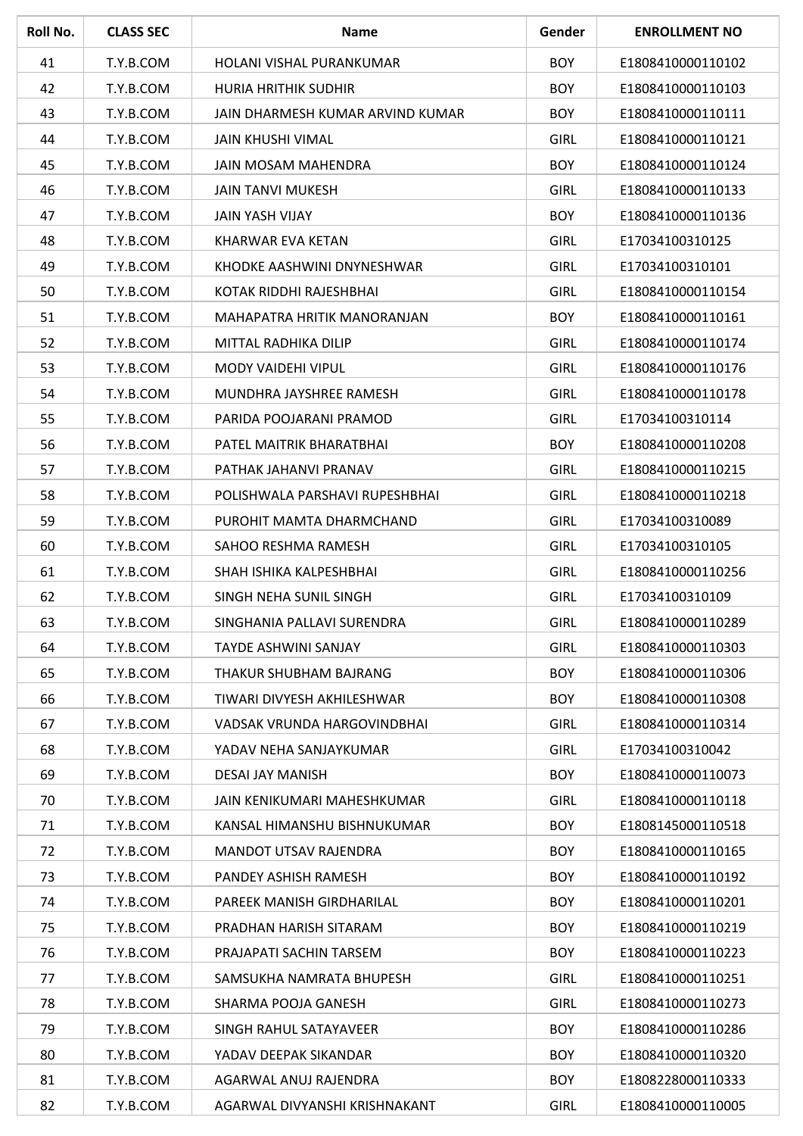| Roll No. | <b>CLASS SEC</b> | <b>Name</b>                      | Gender      | <b>ENROLLMENT NO</b> |
|----------|------------------|----------------------------------|-------------|----------------------|
| 41       | T.Y.B.COM        | HOLANI VISHAL PURANKUMAR         | <b>BOY</b>  | E1808410000110102    |
| 42       | T.Y.B.COM        | HURIA HRITHIK SUDHIR             | <b>BOY</b>  | E1808410000110103    |
| 43       | T.Y.B.COM        | JAIN DHARMESH KUMAR ARVIND KUMAR | <b>BOY</b>  | E1808410000110111    |
| 44       | T.Y.B.COM        | <b>JAIN KHUSHI VIMAL</b>         | <b>GIRL</b> | E1808410000110121    |
| 45       | T.Y.B.COM        | <b>JAIN MOSAM MAHENDRA</b>       | <b>BOY</b>  | E1808410000110124    |
| 46       | T.Y.B.COM        | <b>JAIN TANVI MUKESH</b>         | <b>GIRL</b> | E1808410000110133    |
| 47       | T.Y.B.COM        | JAIN YASH VIJAY                  | <b>BOY</b>  | E1808410000110136    |
| 48       | T.Y.B.COM        | KHARWAR EVA KETAN                | <b>GIRL</b> | E17034100310125      |
| 49       | T.Y.B.COM        | KHODKE AASHWINI DNYNESHWAR       | <b>GIRL</b> | E17034100310101      |
| 50       | T.Y.B.COM        | KOTAK RIDDHI RAJESHBHAI          | <b>GIRL</b> | E1808410000110154    |
| 51       | T.Y.B.COM        | MAHAPATRA HRITIK MANORANJAN      | <b>BOY</b>  | E1808410000110161    |
| 52       | T.Y.B.COM        | MITTAL RADHIKA DILIP             | <b>GIRL</b> | E1808410000110174    |
| 53       | T.Y.B.COM        | MODY VAIDEHI VIPUL               | <b>GIRL</b> | E1808410000110176    |
| 54       | T.Y.B.COM        | MUNDHRA JAYSHREE RAMESH          | <b>GIRL</b> | E1808410000110178    |
| 55       | T.Y.B.COM        | PARIDA POOJARANI PRAMOD          | <b>GIRL</b> | E17034100310114      |
| 56       | T.Y.B.COM        | PATEL MAITRIK BHARATBHAI         | <b>BOY</b>  | E1808410000110208    |
| 57       | T.Y.B.COM        | PATHAK JAHANVI PRANAV            | <b>GIRL</b> | E1808410000110215    |
| 58       | T.Y.B.COM        | POLISHWALA PARSHAVI RUPESHBHAI   | <b>GIRL</b> | E1808410000110218    |
| 59       | T.Y.B.COM        | PUROHIT MAMTA DHARMCHAND         | <b>GIRL</b> | E17034100310089      |
| 60       | T.Y.B.COM        | SAHOO RESHMA RAMESH              | <b>GIRL</b> | E17034100310105      |
| 61       | T.Y.B.COM        | SHAH ISHIKA KALPESHBHAI          | <b>GIRL</b> | E1808410000110256    |
| 62       | T.Y.B.COM        | SINGH NEHA SUNIL SINGH           | <b>GIRL</b> | E17034100310109      |
| 63       | T.Y.B.COM        | SINGHANIA PALLAVI SURENDRA       | <b>GIRL</b> | E1808410000110289    |
| 64       | T.Y.B.COM        | <b>TAYDE ASHWINI SANJAY</b>      | <b>GIRL</b> | E1808410000110303    |
| 65       | T.Y.B.COM        | THAKUR SHUBHAM BAJRANG           | <b>BOY</b>  | E1808410000110306    |
| 66       | T.Y.B.COM        | TIWARI DIVYESH AKHILESHWAR       | <b>BOY</b>  | E1808410000110308    |
| 67       | T.Y.B.COM        | VADSAK VRUNDA HARGOVINDBHAI      | <b>GIRL</b> | E1808410000110314    |
| 68       | T.Y.B.COM        | YADAV NEHA SANJAYKUMAR           | <b>GIRL</b> | E17034100310042      |
| 69       | T.Y.B.COM        | DESAI JAY MANISH                 | <b>BOY</b>  | E1808410000110073    |
| 70       | T.Y.B.COM        | JAIN KENIKUMARI MAHESHKUMAR      | <b>GIRL</b> | E1808410000110118    |
| 71       | T.Y.B.COM        | KANSAL HIMANSHU BISHNUKUMAR      | <b>BOY</b>  | E1808145000110518    |
| 72       | T.Y.B.COM        | <b>MANDOT UTSAV RAJENDRA</b>     | <b>BOY</b>  | E1808410000110165    |
| 73       | T.Y.B.COM        | PANDEY ASHISH RAMESH             | <b>BOY</b>  | E1808410000110192    |
| 74       | T.Y.B.COM        | PAREEK MANISH GIRDHARILAL        | <b>BOY</b>  | E1808410000110201    |
| 75       | T.Y.B.COM        | PRADHAN HARISH SITARAM           | <b>BOY</b>  | E1808410000110219    |
| 76       | T.Y.B.COM        | PRAJAPATI SACHIN TARSEM          | <b>BOY</b>  | E1808410000110223    |
| 77       | T.Y.B.COM        | SAMSUKHA NAMRATA BHUPESH         | <b>GIRL</b> | E1808410000110251    |
| 78       | T.Y.B.COM        | SHARMA POOJA GANESH              | <b>GIRL</b> | E1808410000110273    |
| 79       | T.Y.B.COM        | SINGH RAHUL SATAYAVEER           | <b>BOY</b>  | E1808410000110286    |
| 80       | T.Y.B.COM        | YADAV DEEPAK SIKANDAR            | <b>BOY</b>  | E1808410000110320    |
| 81       | T.Y.B.COM        | AGARWAL ANUJ RAJENDRA            | <b>BOY</b>  | E1808228000110333    |
| 82       | T.Y.B.COM        | AGARWAL DIVYANSHI KRISHNAKANT    | <b>GIRL</b> | E1808410000110005    |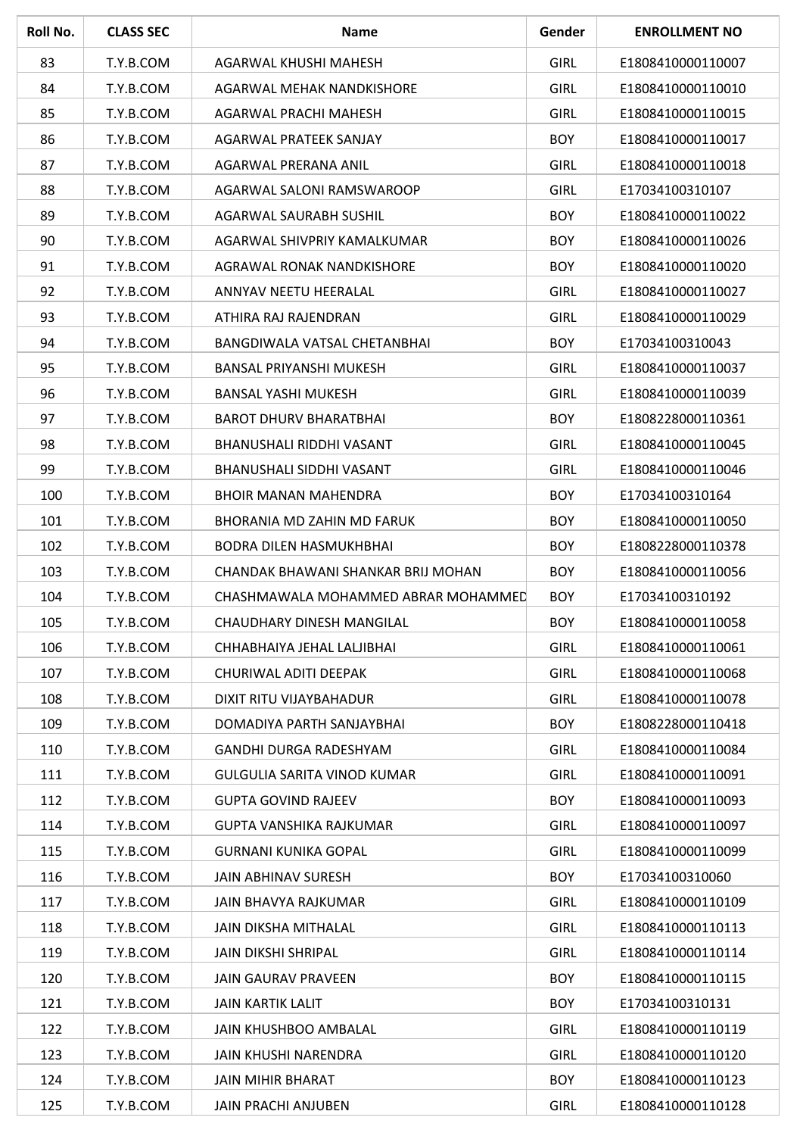| Roll No. | <b>CLASS SEC</b> | <b>Name</b>                         | Gender      | <b>ENROLLMENT NO</b> |
|----------|------------------|-------------------------------------|-------------|----------------------|
| 83       | T.Y.B.COM        | AGARWAL KHUSHI MAHESH               | <b>GIRL</b> | E1808410000110007    |
| 84       | T.Y.B.COM        | AGARWAL MEHAK NANDKISHORE           | <b>GIRL</b> | E1808410000110010    |
| 85       | T.Y.B.COM        | AGARWAL PRACHI MAHESH               | <b>GIRL</b> | E1808410000110015    |
| 86       | T.Y.B.COM        | AGARWAL PRATEEK SANJAY              | <b>BOY</b>  | E1808410000110017    |
| 87       | T.Y.B.COM        | AGARWAL PRERANA ANIL                | <b>GIRL</b> | E1808410000110018    |
| 88       | T.Y.B.COM        | AGARWAL SALONI RAMSWAROOP           | <b>GIRL</b> | E17034100310107      |
| 89       | T.Y.B.COM        | <b>AGARWAL SAURABH SUSHIL</b>       | <b>BOY</b>  | E1808410000110022    |
| 90       | T.Y.B.COM        | AGARWAL SHIVPRIY KAMALKUMAR         | <b>BOY</b>  | E1808410000110026    |
| 91       | T.Y.B.COM        | AGRAWAL RONAK NANDKISHORE           | <b>BOY</b>  | E1808410000110020    |
| 92       | T.Y.B.COM        | ANNYAV NEETU HEERALAL               | <b>GIRL</b> | E1808410000110027    |
| 93       | T.Y.B.COM        | ATHIRA RAJ RAJENDRAN                | <b>GIRL</b> | E1808410000110029    |
| 94       | T.Y.B.COM        | BANGDIWALA VATSAL CHETANBHAI        | <b>BOY</b>  | E17034100310043      |
| 95       | T.Y.B.COM        | <b>BANSAL PRIYANSHI MUKESH</b>      | <b>GIRL</b> | E1808410000110037    |
| 96       | T.Y.B.COM        | <b>BANSAL YASHI MUKESH</b>          | <b>GIRL</b> | E1808410000110039    |
| 97       | T.Y.B.COM        | <b>BAROT DHURV BHARATBHAI</b>       | <b>BOY</b>  | E1808228000110361    |
| 98       | T.Y.B.COM        | BHANUSHALI RIDDHI VASANT            | <b>GIRL</b> | E1808410000110045    |
| 99       | T.Y.B.COM        | BHANUSHALI SIDDHI VASANT            | <b>GIRL</b> | E1808410000110046    |
| 100      | T.Y.B.COM        | <b>BHOIR MANAN MAHENDRA</b>         | <b>BOY</b>  | E17034100310164      |
| 101      | T.Y.B.COM        | <b>BHORANIA MD ZAHIN MD FARUK</b>   | <b>BOY</b>  | E1808410000110050    |
| 102      | T.Y.B.COM        | <b>BODRA DILEN HASMUKHBHAI</b>      | <b>BOY</b>  | E1808228000110378    |
| 103      | T.Y.B.COM        | CHANDAK BHAWANI SHANKAR BRIJ MOHAN  | <b>BOY</b>  | E1808410000110056    |
| 104      | T.Y.B.COM        | CHASHMAWALA MOHAMMED ABRAR MOHAMMED | <b>BOY</b>  | E17034100310192      |
| 105      | T.Y.B.COM        | CHAUDHARY DINESH MANGILAL           | <b>BOY</b>  | E1808410000110058    |
| 106      | T.Y.B.COM        | CHHABHAIYA JEHAL LALJIBHAI          | <b>GIRL</b> | E1808410000110061    |
| 107      | T.Y.B.COM        | CHURIWAL ADITI DEEPAK               | <b>GIRL</b> | E1808410000110068    |
| 108      | T.Y.B.COM        | DIXIT RITU VIJAYBAHADUR             | <b>GIRL</b> | E1808410000110078    |
| 109      | T.Y.B.COM        | DOMADIYA PARTH SANJAYBHAI           | <b>BOY</b>  | E1808228000110418    |
| 110      | T.Y.B.COM        | GANDHI DURGA RADESHYAM              | <b>GIRL</b> | E1808410000110084    |
| 111      | T.Y.B.COM        | GULGULIA SARITA VINOD KUMAR         | <b>GIRL</b> | E1808410000110091    |
| 112      | T.Y.B.COM        | <b>GUPTA GOVIND RAJEEV</b>          | <b>BOY</b>  | E1808410000110093    |
| 114      | T.Y.B.COM        | GUPTA VANSHIKA RAJKUMAR             | <b>GIRL</b> | E1808410000110097    |
| 115      | T.Y.B.COM        | <b>GURNANI KUNIKA GOPAL</b>         | <b>GIRL</b> | E1808410000110099    |
| 116      | T.Y.B.COM        | <b>JAIN ABHINAV SURESH</b>          | <b>BOY</b>  | E17034100310060      |
| 117      | T.Y.B.COM        | JAIN BHAVYA RAJKUMAR                | <b>GIRL</b> | E1808410000110109    |
| 118      | T.Y.B.COM        | JAIN DIKSHA MITHALAL                | <b>GIRL</b> | E1808410000110113    |
| 119      | T.Y.B.COM        | <b>JAIN DIKSHI SHRIPAL</b>          | <b>GIRL</b> | E1808410000110114    |
| 120      | T.Y.B.COM        | JAIN GAURAV PRAVEEN                 | <b>BOY</b>  | E1808410000110115    |
| 121      | T.Y.B.COM        | <b>JAIN KARTIK LALIT</b>            | <b>BOY</b>  | E17034100310131      |
| 122      | T.Y.B.COM        | JAIN KHUSHBOO AMBALAL               | <b>GIRL</b> | E1808410000110119    |
| 123      | T.Y.B.COM        | JAIN KHUSHI NARENDRA                | <b>GIRL</b> | E1808410000110120    |
| 124      | T.Y.B.COM        | JAIN MIHIR BHARAT                   | <b>BOY</b>  | E1808410000110123    |
| 125      | T.Y.B.COM        | JAIN PRACHI ANJUBEN                 | <b>GIRL</b> | E1808410000110128    |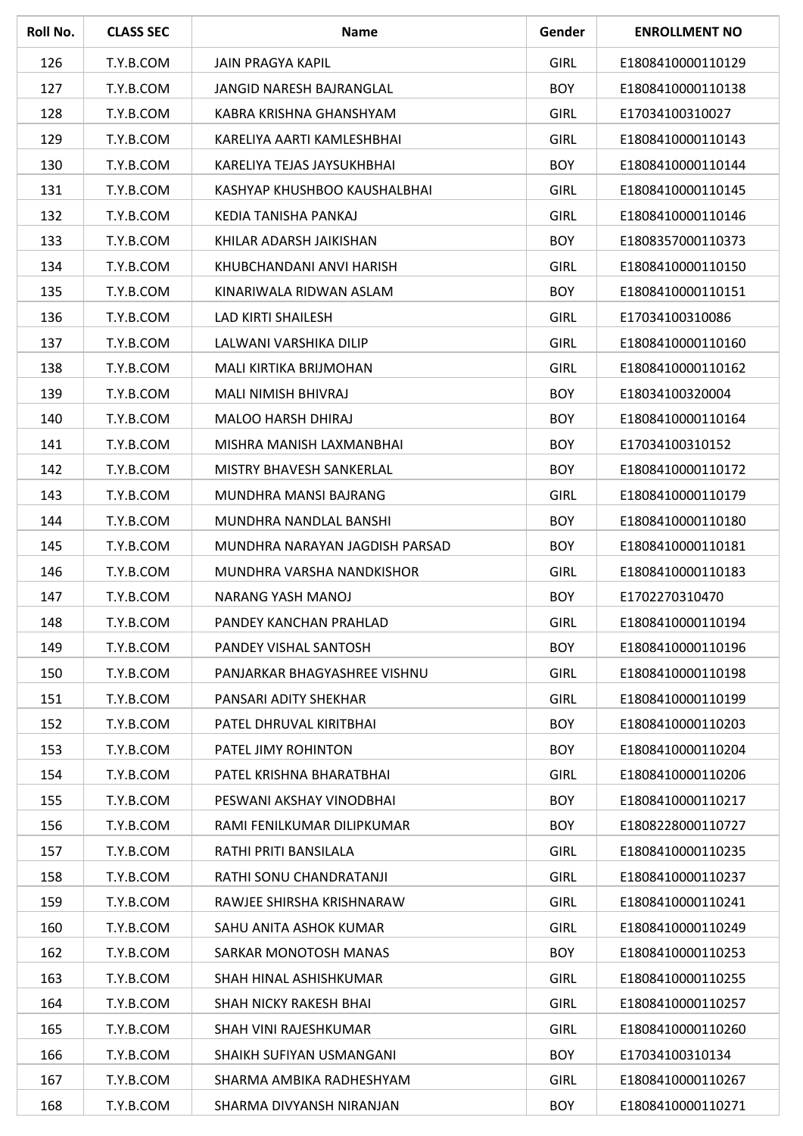| Roll No. | <b>CLASS SEC</b> | <b>Name</b>                    | Gender      | <b>ENROLLMENT NO</b> |
|----------|------------------|--------------------------------|-------------|----------------------|
| 126      | T.Y.B.COM        | JAIN PRAGYA KAPIL              | <b>GIRL</b> | E1808410000110129    |
| 127      | T.Y.B.COM        | JANGID NARESH BAJRANGLAL       | <b>BOY</b>  | E1808410000110138    |
| 128      | T.Y.B.COM        | KABRA KRISHNA GHANSHYAM        | <b>GIRL</b> | E17034100310027      |
| 129      | T.Y.B.COM        | KARELIYA AARTI KAMLESHBHAI     | <b>GIRL</b> | E1808410000110143    |
| 130      | T.Y.B.COM        | KARELIYA TEJAS JAYSUKHBHAI     | <b>BOY</b>  | E1808410000110144    |
| 131      | T.Y.B.COM        | KASHYAP KHUSHBOO KAUSHALBHAI   | <b>GIRL</b> | E1808410000110145    |
| 132      | T.Y.B.COM        | KEDIA TANISHA PANKAJ           | <b>GIRL</b> | E1808410000110146    |
| 133      | T.Y.B.COM        | KHILAR ADARSH JAIKISHAN        | <b>BOY</b>  | E1808357000110373    |
| 134      | T.Y.B.COM        | KHUBCHANDANI ANVI HARISH       | <b>GIRL</b> | E1808410000110150    |
| 135      | T.Y.B.COM        | KINARIWALA RIDWAN ASLAM        | <b>BOY</b>  | E1808410000110151    |
| 136      | T.Y.B.COM        | <b>LAD KIRTI SHAILESH</b>      | <b>GIRL</b> | E17034100310086      |
| 137      | T.Y.B.COM        | LALWANI VARSHIKA DILIP         | <b>GIRL</b> | E1808410000110160    |
| 138      | T.Y.B.COM        | MALI KIRTIKA BRIJMOHAN         | <b>GIRL</b> | E1808410000110162    |
| 139      | T.Y.B.COM        | MALI NIMISH BHIVRAJ            | <b>BOY</b>  | E18034100320004      |
| 140      | T.Y.B.COM        | MALOO HARSH DHIRAJ             | <b>BOY</b>  | E1808410000110164    |
| 141      | T.Y.B.COM        | MISHRA MANISH LAXMANBHAI       | <b>BOY</b>  | E17034100310152      |
| 142      | T.Y.B.COM        | MISTRY BHAVESH SANKERLAL       | <b>BOY</b>  | E1808410000110172    |
| 143      | T.Y.B.COM        | MUNDHRA MANSI BAJRANG          | <b>GIRL</b> | E1808410000110179    |
| 144      | T.Y.B.COM        | MUNDHRA NANDLAL BANSHI         | <b>BOY</b>  | E1808410000110180    |
| 145      | T.Y.B.COM        | MUNDHRA NARAYAN JAGDISH PARSAD | <b>BOY</b>  | E1808410000110181    |
| 146      | T.Y.B.COM        | MUNDHRA VARSHA NANDKISHOR      | <b>GIRL</b> | E1808410000110183    |
| 147      | T.Y.B.COM        | NARANG YASH MANOJ              | <b>BOY</b>  | E1702270310470       |
| 148      | T.Y.B.COM        | PANDEY KANCHAN PRAHLAD         | <b>GIRL</b> | E1808410000110194    |
| 149      | T.Y.B.COM        | PANDEY VISHAL SANTOSH          | <b>BOY</b>  | E1808410000110196    |
| 150      | T.Y.B.COM        | PANJARKAR BHAGYASHREE VISHNU   | <b>GIRL</b> | E1808410000110198    |
| 151      | T.Y.B.COM        | PANSARI ADITY SHEKHAR          | <b>GIRL</b> | E1808410000110199    |
| 152      | T.Y.B.COM        | PATEL DHRUVAL KIRITBHAI        | <b>BOY</b>  | E1808410000110203    |
| 153      | T.Y.B.COM        | PATEL JIMY ROHINTON            | <b>BOY</b>  | E1808410000110204    |
| 154      | T.Y.B.COM        | PATEL KRISHNA BHARATBHAI       | <b>GIRL</b> | E1808410000110206    |
| 155      | T.Y.B.COM        | PESWANI AKSHAY VINODBHAI       | <b>BOY</b>  | E1808410000110217    |
| 156      | T.Y.B.COM        | RAMI FENILKUMAR DILIPKUMAR     | <b>BOY</b>  | E1808228000110727    |
| 157      | T.Y.B.COM        | RATHI PRITI BANSILALA          | <b>GIRL</b> | E1808410000110235    |
| 158      | T.Y.B.COM        | RATHI SONU CHANDRATANJI        | <b>GIRL</b> | E1808410000110237    |
| 159      | T.Y.B.COM        | RAWJEE SHIRSHA KRISHNARAW      | <b>GIRL</b> | E1808410000110241    |
| 160      | T.Y.B.COM        | SAHU ANITA ASHOK KUMAR         | <b>GIRL</b> | E1808410000110249    |
| 162      | T.Y.B.COM        | SARKAR MONOTOSH MANAS          | <b>BOY</b>  | E1808410000110253    |
| 163      | T.Y.B.COM        | SHAH HINAL ASHISHKUMAR         | <b>GIRL</b> | E1808410000110255    |
| 164      | T.Y.B.COM        | SHAH NICKY RAKESH BHAI         | <b>GIRL</b> | E1808410000110257    |
| 165      | T.Y.B.COM        | SHAH VINI RAJESHKUMAR          | <b>GIRL</b> | E1808410000110260    |
| 166      | T.Y.B.COM        | SHAIKH SUFIYAN USMANGANI       | <b>BOY</b>  | E17034100310134      |
| 167      | T.Y.B.COM        | SHARMA AMBIKA RADHESHYAM       | <b>GIRL</b> | E1808410000110267    |
| 168      | T.Y.B.COM        | SHARMA DIVYANSH NIRANJAN       | <b>BOY</b>  | E1808410000110271    |